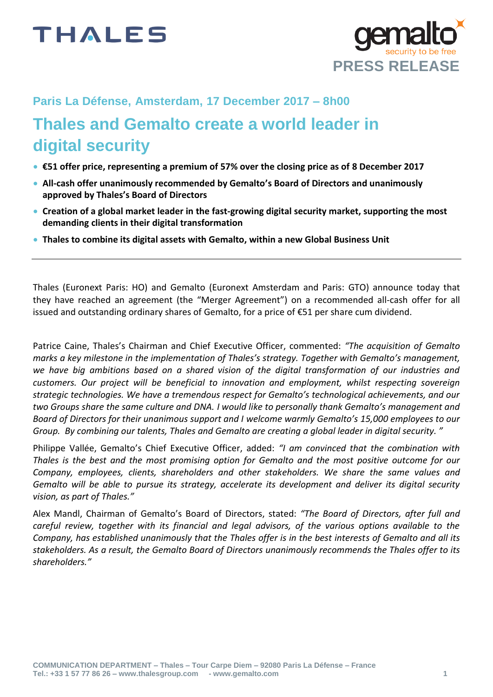

## **Paris La Défense, Amsterdam, 17 December 2017 – 8h00**

## **Thales and Gemalto create a world leader in digital security**

- **€51 offer price, representing a premium of 57% over the closing price as of 8 December 2017**
- **All-cash offer unanimously recommended by Gemalto's Board of Directors and unanimously approved by Thales's Board of Directors**
- **Creation of a global market leader in the fast-growing digital security market, supporting the most demanding clients in their digital transformation**
- **Thales to combine its digital assets with Gemalto, within a new Global Business Unit**

Thales (Euronext Paris: HO) and Gemalto (Euronext Amsterdam and Paris: GTO) announce today that they have reached an agreement (the "Merger Agreement") on a recommended all-cash offer for all issued and outstanding ordinary shares of Gemalto, for a price of €51 per share cum dividend.

Patrice Caine, Thales's Chairman and Chief Executive Officer, commented: *"The acquisition of Gemalto marks a key milestone in the implementation of Thales's strategy. Together with Gemalto's management, we have big ambitions based on a shared vision of the digital transformation of our industries and customers. Our project will be beneficial to innovation and employment, whilst respecting sovereign strategic technologies. We have a tremendous respect for Gemalto's technological achievements, and our two Groups share the same culture and DNA. I would like to personally thank Gemalto's management and Board of Directors for their unanimous support and I welcome warmly Gemalto's 15,000 employees to our Group. By combining our talents, Thales and Gemalto are creating a global leader in digital security. "*

Philippe Vallée, Gemalto's Chief Executive Officer, added: *"I am convinced that the combination with Thales is the best and the most promising option for Gemalto and the most positive outcome for our Company, employees, clients, shareholders and other stakeholders. We share the same values and Gemalto will be able to pursue its strategy, accelerate its development and deliver its digital security vision, as part of Thales."*

Alex Mandl, Chairman of Gemalto's Board of Directors, stated: *"The Board of Directors, after full and careful review, together with its financial and legal advisors, of the various options available to the Company, has established unanimously that the Thales offer is in the best interests of Gemalto and all its stakeholders. As a result, the Gemalto Board of Directors unanimously recommends the Thales offer to its shareholders."*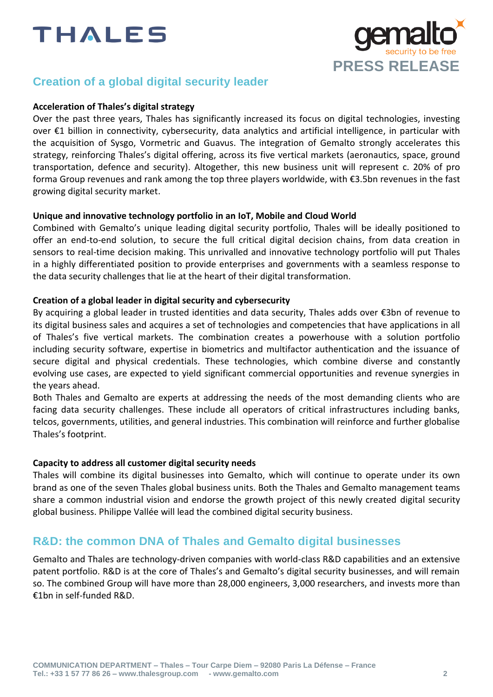

## **Creation of a global digital security leader**

#### **Acceleration of Thales's digital strategy**

Over the past three years, Thales has significantly increased its focus on digital technologies, investing over €1 billion in connectivity, cybersecurity, data analytics and artificial intelligence, in particular with the acquisition of Sysgo, Vormetric and Guavus. The integration of Gemalto strongly accelerates this strategy, reinforcing Thales's digital offering, across its five vertical markets (aeronautics, space, ground transportation, defence and security). Altogether, this new business unit will represent c. 20% of pro forma Group revenues and rank among the top three players worldwide, with €3.5bn revenues in the fast growing digital security market.

#### **Unique and innovative technology portfolio in an IoT, Mobile and Cloud World**

Combined with Gemalto's unique leading digital security portfolio, Thales will be ideally positioned to offer an end-to-end solution, to secure the full critical digital decision chains, from data creation in sensors to real-time decision making. This unrivalled and innovative technology portfolio will put Thales in a highly differentiated position to provide enterprises and governments with a seamless response to the data security challenges that lie at the heart of their digital transformation.

#### **Creation of a global leader in digital security and cybersecurity**

By acquiring a global leader in trusted identities and data security, Thales adds over €3bn of revenue to its digital business sales and acquires a set of technologies and competencies that have applications in all of Thales's five vertical markets. The combination creates a powerhouse with a solution portfolio including security software, expertise in biometrics and multifactor authentication and the issuance of secure digital and physical credentials. These technologies, which combine diverse and constantly evolving use cases, are expected to yield significant commercial opportunities and revenue synergies in the years ahead.

Both Thales and Gemalto are experts at addressing the needs of the most demanding clients who are facing data security challenges. These include all operators of critical infrastructures including banks, telcos, governments, utilities, and general industries. This combination will reinforce and further globalise Thales's footprint.

#### **Capacity to address all customer digital security needs**

Thales will combine its digital businesses into Gemalto, which will continue to operate under its own brand as one of the seven Thales global business units. Both the Thales and Gemalto management teams share a common industrial vision and endorse the growth project of this newly created digital security global business. Philippe Vallée will lead the combined digital security business.

## **R&D: the common DNA of Thales and Gemalto digital businesses**

Gemalto and Thales are technology-driven companies with world-class R&D capabilities and an extensive patent portfolio. R&D is at the core of Thales's and Gemalto's digital security businesses, and will remain so. The combined Group will have more than 28,000 engineers, 3,000 researchers, and invests more than €1bn in self-funded R&D.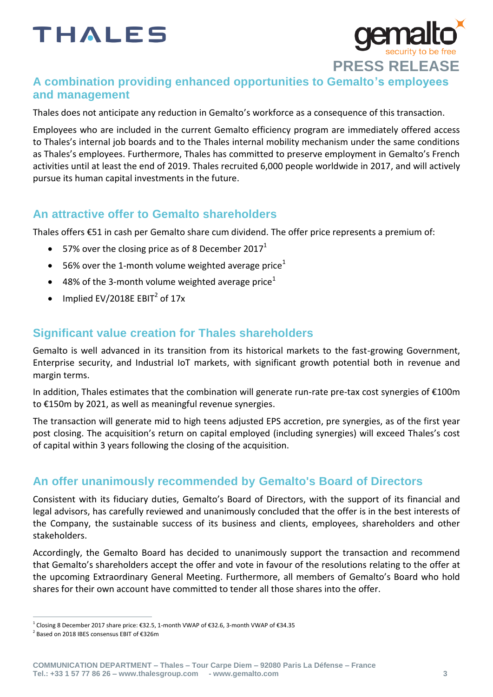

## **A combination providing enhanced opportunities to Gemalto's employees and management**

Thales does not anticipate any reduction in Gemalto's workforce as a consequence of this transaction.

Employees who are included in the current Gemalto efficiency program are immediately offered access to Thales's internal job boards and to the Thales internal mobility mechanism under the same conditions as Thales's employees. Furthermore, Thales has committed to preserve employment in Gemalto's French activities until at least the end of 2019. Thales recruited 6,000 people worldwide in 2017, and will actively pursue its human capital investments in the future.

## **An attractive offer to Gemalto shareholders**

Thales offers €51 in cash per Gemalto share cum dividend. The offer price represents a premium of:

- 57% over the closing price as of 8 December 2017<sup>1</sup>
- $\bullet$  56% over the 1-month volume weighted average price<sup>1</sup>
- $\bullet$  48% of the 3-month volume weighted average price<sup>1</sup>
- Implied EV/2018E  $EBIT<sup>2</sup>$  of 17x

## **Significant value creation for Thales shareholders**

Gemalto is well advanced in its transition from its historical markets to the fast-growing Government, Enterprise security, and Industrial IoT markets, with significant growth potential both in revenue and margin terms.

In addition, Thales estimates that the combination will generate run-rate pre-tax cost synergies of €100m to €150m by 2021, as well as meaningful revenue synergies.

The transaction will generate mid to high teens adjusted EPS accretion, pre synergies, as of the first year post closing. The acquisition's return on capital employed (including synergies) will exceed Thales's cost of capital within 3 years following the closing of the acquisition.

## **An offer unanimously recommended by Gemalto's Board of Directors**

Consistent with its fiduciary duties, Gemalto's Board of Directors, with the support of its financial and legal advisors, has carefully reviewed and unanimously concluded that the offer is in the best interests of the Company, the sustainable success of its business and clients, employees, shareholders and other stakeholders.

Accordingly, the Gemalto Board has decided to unanimously support the transaction and recommend that Gemalto's shareholders accept the offer and vote in favour of the resolutions relating to the offer at the upcoming Extraordinary General Meeting. Furthermore, all members of Gemalto's Board who hold shares for their own account have committed to tender all those shares into the offer.

j

<sup>&</sup>lt;sup>1</sup> Closing 8 December 2017 share price: €32.5, 1-month VWAP of €32.6, 3-month VWAP of €34.35

<sup>2</sup> Based on 2018 IBES consensus EBIT of €326m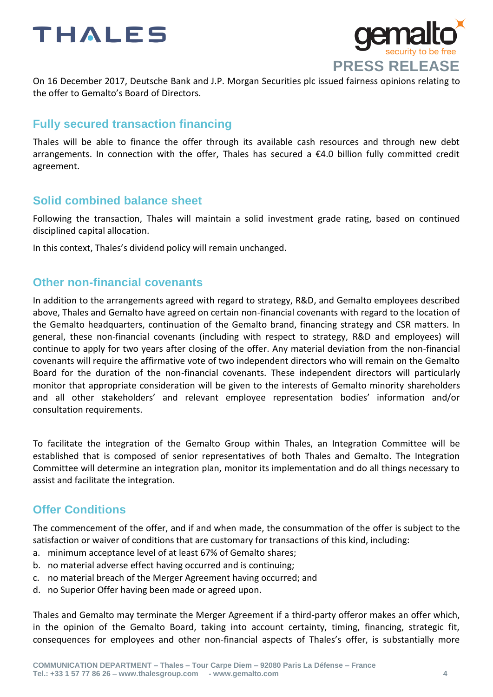



On 16 December 2017, Deutsche Bank and J.P. Morgan Securities plc issued fairness opinions relating to the offer to Gemalto's Board of Directors.

## **Fully secured transaction financing**

Thales will be able to finance the offer through its available cash resources and through new debt arrangements. In connection with the offer, Thales has secured a €4.0 billion fully committed credit agreement.

## **Solid combined balance sheet**

Following the transaction, Thales will maintain a solid investment grade rating, based on continued disciplined capital allocation.

In this context, Thales's dividend policy will remain unchanged.

### **Other non-financial covenants**

In addition to the arrangements agreed with regard to strategy, R&D, and Gemalto employees described above, Thales and Gemalto have agreed on certain non-financial covenants with regard to the location of the Gemalto headquarters, continuation of the Gemalto brand, financing strategy and CSR matters. In general, these non-financial covenants (including with respect to strategy, R&D and employees) will continue to apply for two years after closing of the offer. Any material deviation from the non-financial covenants will require the affirmative vote of two independent directors who will remain on the Gemalto Board for the duration of the non-financial covenants. These independent directors will particularly monitor that appropriate consideration will be given to the interests of Gemalto minority shareholders and all other stakeholders' and relevant employee representation bodies' information and/or consultation requirements.

To facilitate the integration of the Gemalto Group within Thales, an Integration Committee will be established that is composed of senior representatives of both Thales and Gemalto. The Integration Committee will determine an integration plan, monitor its implementation and do all things necessary to assist and facilitate the integration.

## **Offer Conditions**

The commencement of the offer, and if and when made, the consummation of the offer is subject to the satisfaction or waiver of conditions that are customary for transactions of this kind, including:

- a. minimum acceptance level of at least 67% of Gemalto shares;
- b. no material adverse effect having occurred and is continuing;
- c. no material breach of the Merger Agreement having occurred; and
- d. no Superior Offer having been made or agreed upon.

Thales and Gemalto may terminate the Merger Agreement if a third-party offeror makes an offer which, in the opinion of the Gemalto Board, taking into account certainty, timing, financing, strategic fit, consequences for employees and other non-financial aspects of Thales's offer, is substantially more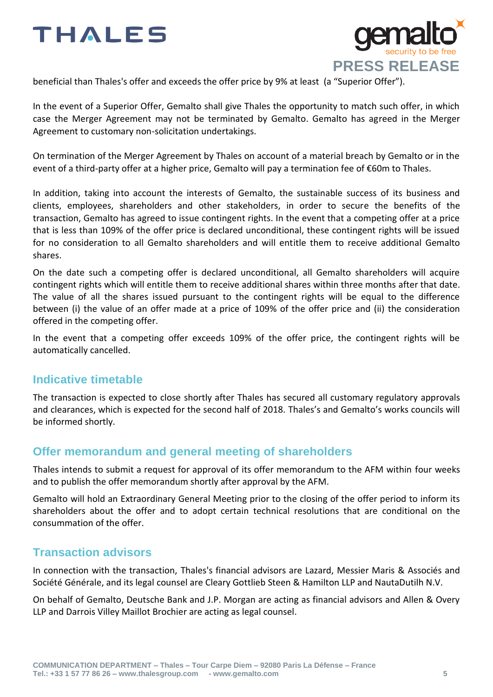

beneficial than Thales's offer and exceeds the offer price by 9% at least (a "Superior Offer").

In the event of a Superior Offer, Gemalto shall give Thales the opportunity to match such offer, in which case the Merger Agreement may not be terminated by Gemalto. Gemalto has agreed in the Merger Agreement to customary non-solicitation undertakings.

On termination of the Merger Agreement by Thales on account of a material breach by Gemalto or in the event of a third-party offer at a higher price, Gemalto will pay a termination fee of €60m to Thales.

In addition, taking into account the interests of Gemalto, the sustainable success of its business and clients, employees, shareholders and other stakeholders, in order to secure the benefits of the transaction, Gemalto has agreed to issue contingent rights. In the event that a competing offer at a price that is less than 109% of the offer price is declared unconditional, these contingent rights will be issued for no consideration to all Gemalto shareholders and will entitle them to receive additional Gemalto shares.

On the date such a competing offer is declared unconditional, all Gemalto shareholders will acquire contingent rights which will entitle them to receive additional shares within three months after that date. The value of all the shares issued pursuant to the contingent rights will be equal to the difference between (i) the value of an offer made at a price of 109% of the offer price and (ii) the consideration offered in the competing offer.

In the event that a competing offer exceeds 109% of the offer price, the contingent rights will be automatically cancelled.

## **Indicative timetable**

The transaction is expected to close shortly after Thales has secured all customary regulatory approvals and clearances, which is expected for the second half of 2018. Thales's and Gemalto's works councils will be informed shortly.

## **Offer memorandum and general meeting of shareholders**

Thales intends to submit a request for approval of its offer memorandum to the AFM within four weeks and to publish the offer memorandum shortly after approval by the AFM.

Gemalto will hold an Extraordinary General Meeting prior to the closing of the offer period to inform its shareholders about the offer and to adopt certain technical resolutions that are conditional on the consummation of the offer.

## **Transaction advisors**

In connection with the transaction, Thales's financial advisors are Lazard, Messier Maris & Associés and Société Générale, and its legal counsel are Cleary Gottlieb Steen & Hamilton LLP and NautaDutilh N.V.

On behalf of Gemalto, Deutsche Bank and J.P. Morgan are acting as financial advisors and Allen & Overy LLP and Darrois Villey Maillot Brochier are acting as legal counsel.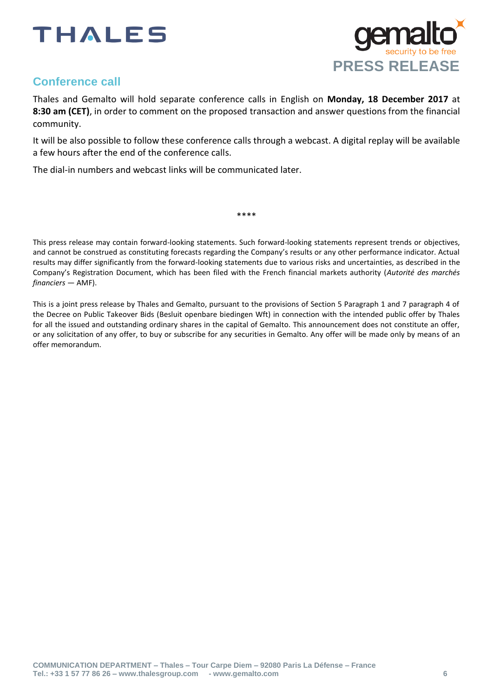



## **Conference call**

Thales and Gemalto will hold separate conference calls in English on **Monday, 18 December 2017** at **8:30 am (CET)**, in order to comment on the proposed transaction and answer questions from the financial community.

It will be also possible to follow these conference calls through a webcast. A digital replay will be available a few hours after the end of the conference calls.

The dial-in numbers and webcast links will be communicated later.

This press release may contain forward-looking statements. Such forward-looking statements represent trends or objectives, and cannot be construed as constituting forecasts regarding the Company's results or any other performance indicator. Actual results may differ significantly from the forward-looking statements due to various risks and uncertainties, as described in the Company's Registration Document, which has been filed with the French financial markets authority (*Autorité des marchés financiers* — AMF).

\*\*\*\*

This is a joint press release by Thales and Gemalto, pursuant to the provisions of Section 5 Paragraph 1 and 7 paragraph 4 of the Decree on Public Takeover Bids (Besluit openbare biedingen Wft) in connection with the intended public offer by Thales for all the issued and outstanding ordinary shares in the capital of Gemalto. This announcement does not constitute an offer, or any solicitation of any offer, to buy or subscribe for any securities in Gemalto. Any offer will be made only by means of an offer memorandum.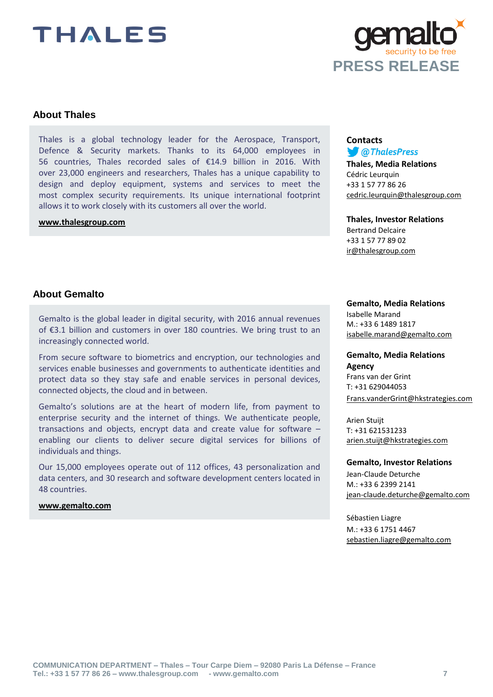

### **About Thales**

Thales is a global technology leader for the Aerospace, Transport, Defence & Security markets. Thanks to its 64,000 employees in 56 countries, Thales recorded sales of €14.9 billion in 2016. With over 23,000 engineers and researchers, Thales has a unique capability to design and deploy equipment, systems and services to meet the most complex security requirements. Its unique international footprint allows it to work closely with its customers all over the world.

#### **[www.thalesgroup.com](http://www.thalesgroup.com/)**

#### **Contacts** *COThalesPress*

**Thales, Media Relations** Cédric Leurquin +33 1 57 77 86 26 [cedric.leurquin@thalesgroup.com](mailto:pressroom@thalesgroup.com)

#### **Thales, Investor Relations** Bertrand Delcaire

+33 1 57 77 89 02 [ir@thalesgroup.com](mailto:ir@thalesgroup.com)

#### **About Gemalto**

Gemalto is the global leader in digital security, with 2016 annual revenues of €3.1 billion and customers in over 180 countries. We bring trust to an increasingly connected world.

From secure software to biometrics and encryption, our technologies and services enable businesses and governments to authenticate identities and protect data so they stay safe and enable services in personal devices, connected objects, the cloud and in between.

Gemalto's solutions are at the heart of modern life, from payment to enterprise security and the internet of things. We authenticate people, transactions and objects, encrypt data and create value for software – enabling our clients to deliver secure digital services for billions of individuals and things.

Our 15,000 employees operate out of 112 offices, 43 personalization and data centers, and 30 research and software development centers located in 48 countries.

#### **[www.gemalto.com](http://www.gemalto.com/)**

#### **Gemalto, Media Relations**

Isabelle Marand M.: +33 6 1489 1817 [isabelle.marand@gemalto.com](mailto:isabelle.marand@gemalto.com)

#### **Gemalto, Media Relations Agency**

Frans van der Grint T: +31 629044053 [Frans.vanderGrint@hkstrategies.com](mailto:Frans.vanderGrint@hkstrategies.com)

Arien Stuijt T: +31 621531233 [arien.stuijt@hkstrategies.com](mailto:arien.stuijt@hkstrategies.com)

#### **Gemalto, Investor Relations**

Jean-Claude Deturche M.: +33 6 2399 2141 [jean-claude.deturche@gemalto.com](mailto:jean-claude.deturche@gemalto.com)

Sébastien Liagre M.: +33 6 1751 4467 [sebastien.liagre@gemalto.com](mailto:sebastien.liagre@gemalto.com)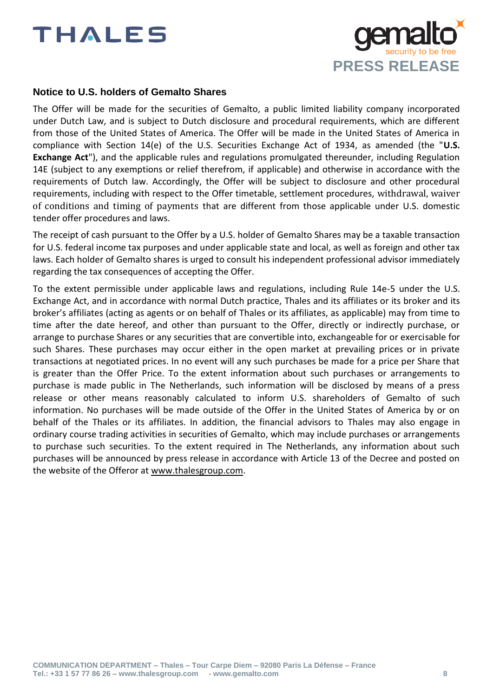

#### **Notice to U.S. holders of Gemalto Shares**

The Offer will be made for the securities of Gemalto, a public limited liability company incorporated under Dutch Law, and is subject to Dutch disclosure and procedural requirements, which are different from those of the United States of America. The Offer will be made in the United States of America in compliance with Section 14(e) of the U.S. Securities Exchange Act of 1934, as amended (the "**U.S. Exchange Act**"), and the applicable rules and regulations promulgated thereunder, including Regulation 14E (subject to any exemptions or relief therefrom, if applicable) and otherwise in accordance with the requirements of Dutch law. Accordingly, the Offer will be subject to disclosure and other procedural requirements, including with respect to the Offer timetable, settlement procedures, withdrawal, waiver of conditions and timing of payments that are different from those applicable under U.S. domestic tender offer procedures and laws.

The receipt of cash pursuant to the Offer by a U.S. holder of Gemalto Shares may be a taxable transaction for U.S. federal income tax purposes and under applicable state and local, as well as foreign and other tax laws. Each holder of Gemalto shares is urged to consult his independent professional advisor immediately regarding the tax consequences of accepting the Offer.

To the extent permissible under applicable laws and regulations, including Rule 14e-5 under the U.S. Exchange Act, and in accordance with normal Dutch practice, Thales and its affiliates or its broker and its broker's affiliates (acting as agents or on behalf of Thales or its affiliates, as applicable) may from time to time after the date hereof, and other than pursuant to the Offer, directly or indirectly purchase, or arrange to purchase Shares or any securities that are convertible into, exchangeable for or exercisable for such Shares. These purchases may occur either in the open market at prevailing prices or in private transactions at negotiated prices. In no event will any such purchases be made for a price per Share that is greater than the Offer Price. To the extent information about such purchases or arrangements to purchase is made public in The Netherlands, such information will be disclosed by means of a press release or other means reasonably calculated to inform U.S. shareholders of Gemalto of such information. No purchases will be made outside of the Offer in the United States of America by or on behalf of the Thales or its affiliates. In addition, the financial advisors to Thales may also engage in ordinary course trading activities in securities of Gemalto, which may include purchases or arrangements to purchase such securities. To the extent required in The Netherlands, any information about such purchases will be announced by press release in accordance with Article 13 of the Decree and posted on the website of the Offeror at [www.thalesgroup.com.](http://www.thalesgroup.com/)